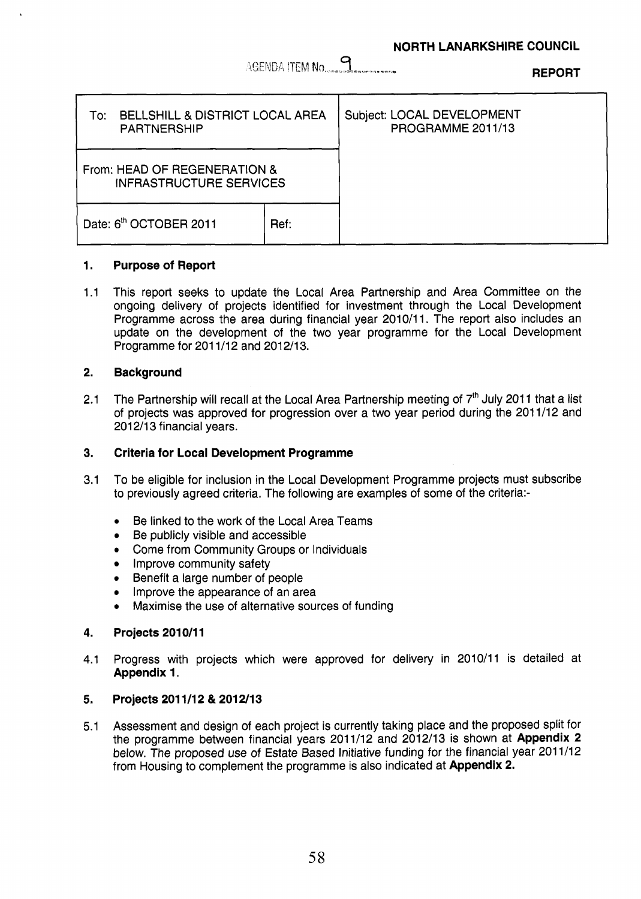\SEND/\ fVEM ..................... **9 REPORT** 

| <b>BELLSHILL &amp; DISTRICT LOCAL AREA</b><br>To:∶<br><b>PARTNERSHIP</b> |      | Subject: LOCAL DEVELOPMENT<br>PROGRAMME 2011/13 |
|--------------------------------------------------------------------------|------|-------------------------------------------------|
| From: HEAD OF REGENERATION &<br><b>INFRASTRUCTURE SERVICES</b>           |      |                                                 |
| Date: 6th OCTOBER 2011                                                   | Ref: |                                                 |

#### **1. Purpose of Report**

1.1 This report seeks to update the Local Area Partnership and Area Committee on the ongoing delivery of projects identified for investment through the Local Development Programme across the area during financial year 2010/11. The report also includes an update on the development of the two year programme for the Local Development Programme for 201 1/12 and 2012/13.

#### **2. Background**

2.1 The Partnership will recall at the Local Area Partnership meeting of  $7<sup>th</sup>$  July 2011 that a list of projects was approved for progression over a two year period during the 201 1/12 and 2012/13 financial years.

#### **3. Criteria for Local Development Programme**

- 3.1 To be eligible for inclusion in the Local Development Programme projects must subscribe to previously agreed criteria. The following are examples of some of the criteria:-
	- \* Be linked to the work of the Local Area Teams
	- Be publicly visible and accessible
	- **Come from Community Groups or Individuals**
	- Improve community safety
	- Benefit a large number of people
	- Improve the appearance of an area
	- Maximise the use of alternative sources of funding  $\bullet$

#### **4. Projects 201 0/11**

4.1 Progress with projects which were approved for delivery in 2010/11 is detailed at **Appendix 1.** 

#### **5. Projects 201 1/12** & **201 2/13**

5.1 Assessment and design of each project is currently taking place and the proposed split for the programme between financial years 2011/12 and 2012/13 is shown at **Appendix 2**  below. The proposed use of Estate Based Initiative funding for the financial year 2011/12 from Housing to complement the programme is also indicated at **Appendix 2.**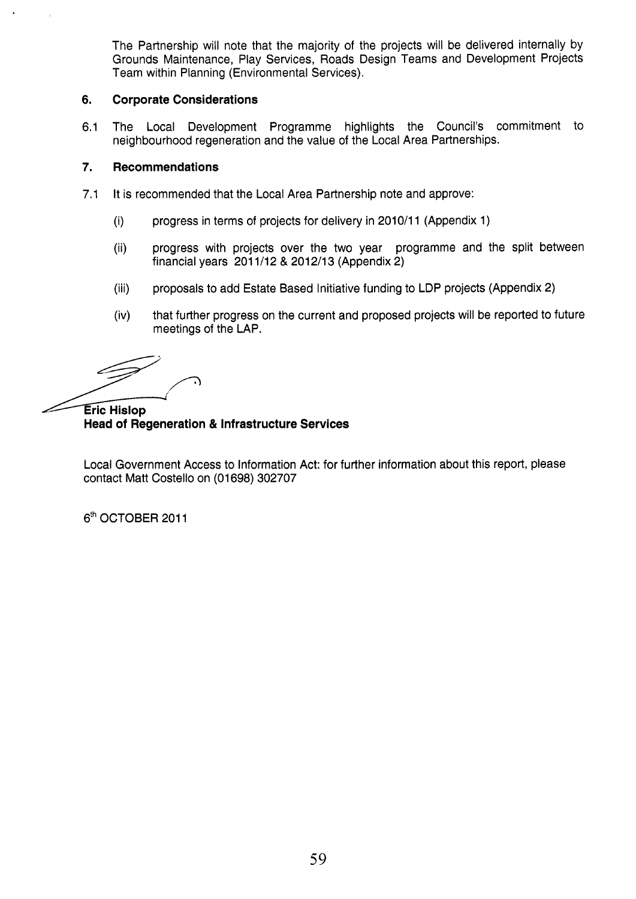The Partnership will note that the majority of the projects will be delivered internally by Grounds Maintenance, Play Services, Roads Design Teams and Development Projects Team within Planning (Environmental Services).

#### **6. Corporate Considerations**

6.1 The Local Development Programme highlights the Council's commitment to neighbourhood regeneration and the value of the Local Area Partnerships.

#### *7.*  **Recommendations**

- 7.1 It is recommended that the Local Area Partnership note and approve:
	- (i) progress in terms of projects for delivery in 2010/11 (Appendix 1)
	- (ii) progress with projects over the two year programme and the split between financial years 201 1/12 & 2012/13 (Appendix 2)
	- (iii) proposals to add Estate Based Initiative funding to LDP projects (Appendix 2)
	- (iv) that further progress on the current and proposed projects will be reported to future meetings of the LAP.

**Eric Hislop Head of Regeneration** & **Infrastructure Services** 

Local Government Access to Information Act: for further information about this report, please contact Matt Costello on (01698) 302707

6<sup>th</sup> OCTOBER 2011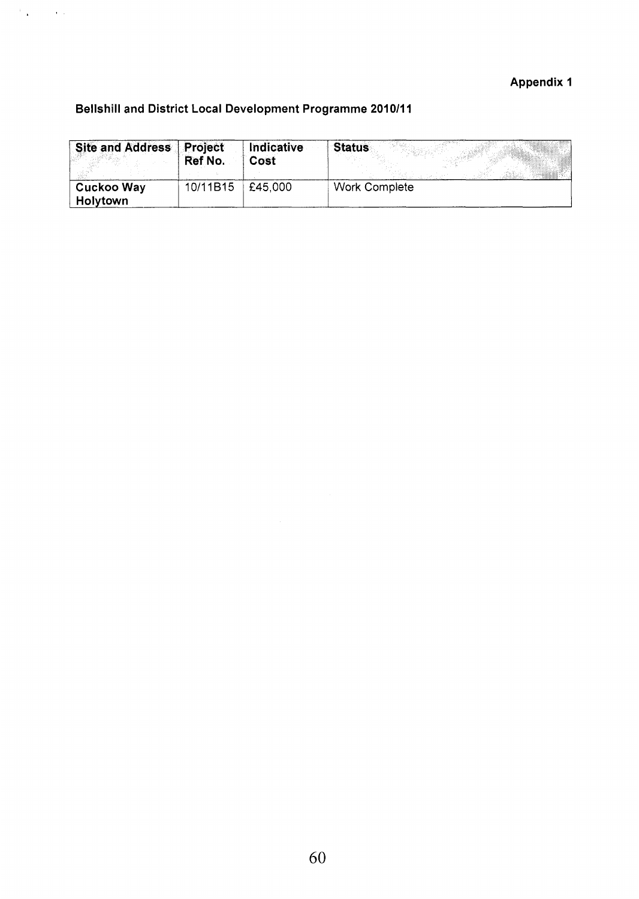## **Appendix 1**

## **Bellshill and District Local Development Programme 201011 1**

 $\label{eq:2} \mathcal{L}^{\frac{1}{2}}\left(\frac{1}{\sqrt{2}}\right) = \mathcal{L}^{\frac{1}{2}}\left(\frac{1}{\sqrt{2}}\right)$ 

| Site and Address   Project    | Ref No.  | Indicative<br>Cost | <b>Status</b>        |
|-------------------------------|----------|--------------------|----------------------|
| Cuckoo Way<br><b>Holytown</b> | 10/11B15 | £45.000            | <b>Work Complete</b> |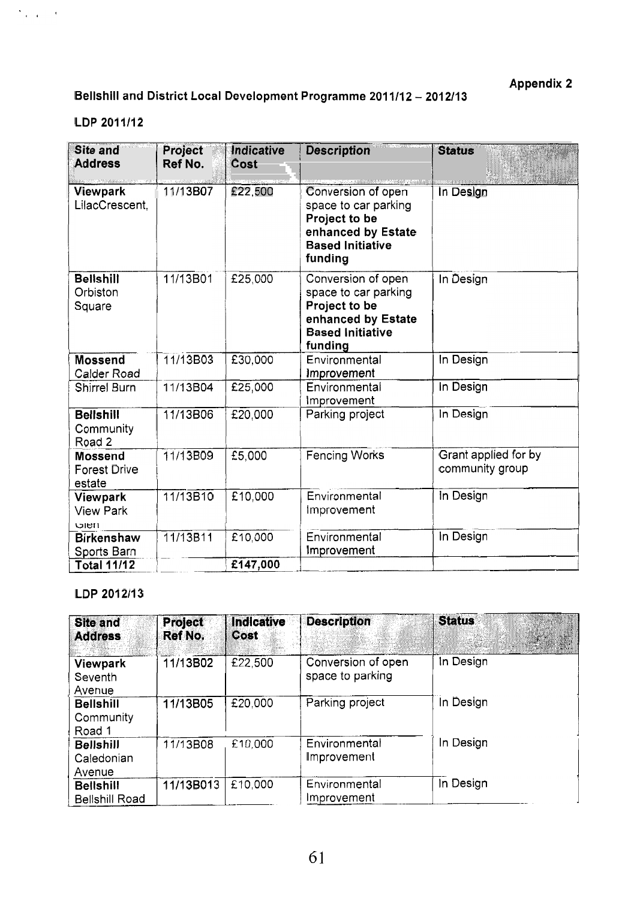Appendix **2** 

# Bellshill and District Local Development Programme **201 1112** - **<sup>2012113</sup>**

## LDP **2011112**

 $\Delta_{\rm 1000}$  and  $\delta_{\rm 100}$ 

| <b>Site and</b><br><b>Address</b>               | Project<br>Ref No. | Indicative<br>Cost | <b>Description</b>                                                                                                      | <b>Status</b>                           |
|-------------------------------------------------|--------------------|--------------------|-------------------------------------------------------------------------------------------------------------------------|-----------------------------------------|
| Viewpark<br>LilacCrescent,                      | 11/13B07           | £22,500            | Conversion of open<br>space to car parking<br>Project to be<br>enhanced by Estate<br><b>Based Initiative</b><br>funding | In Design                               |
| <b>Bellshill</b><br>Orbiston<br>Square          | 11/13B01           | £25,000            | Conversion of open<br>space to car parking<br>Project to be<br>enhanced by Estate<br><b>Based Initiative</b><br>funding | In Design                               |
| <b>Mossend</b><br>Calder Road                   | 11/13B03           | £30,000            | Environmental<br>Improvement                                                                                            | In Design                               |
| <b>Shirrel Burn</b>                             | 11/13B04           | £25,000            | Environmental<br>Improvement                                                                                            | In Design                               |
| <b>Bellshill</b><br>Community<br>Road 2         | 11/13B06           | £20,000            | Parking project                                                                                                         | In Design                               |
| <b>Mossend</b><br><b>Forest Drive</b><br>estate | 11/13B09           | £5,000             | <b>Fencing Works</b>                                                                                                    | Grant applied for by<br>community group |
| Viewpark<br><b>View Park</b><br>ווטוט           | 11/13B10           | £10,000            | Environmental<br>improvement                                                                                            | In Design                               |
| <b>Birkenshaw</b><br>Sports Barn                | 11/13B11           | £10,000            | Environmental<br>Improvement                                                                                            | In Design                               |
| <b>Total 11/12</b>                              |                    | £147,000           |                                                                                                                         |                                         |

### LDP **2012113**

| <b>Site and</b><br><b>Address</b>         | <b>Project</b><br>Ref No. | Indicative<br><b>Cost</b> | <b>Description</b>                     | <b>Status</b> |
|-------------------------------------------|---------------------------|---------------------------|----------------------------------------|---------------|
| Viewpark<br>Seventh<br>Avenue             | 11/13B02                  | £22,500                   | Conversion of open<br>space to parking | In Design     |
| <b>Bellshill</b><br>Community<br>Road 1   | 11/13B05                  | £20,000                   | Parking project                        | In Design     |
| <b>Bellshill</b><br>Caledonian<br>Avenue  | 11/13B08                  | £10.000                   | Environmental<br>Improvement           | In Design     |
| <b>Bellshill</b><br><b>Bellshill Road</b> | 11/13B013                 | £10,000                   | Environmental<br>Improvement           | In Design     |